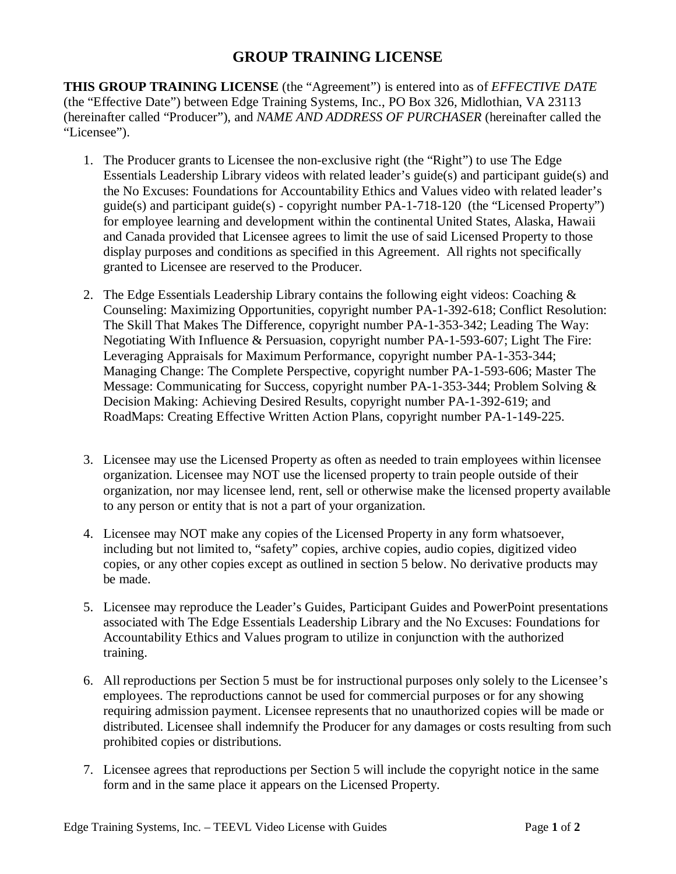## **GROUP TRAINING LICENSE**

**THIS GROUP TRAINING LICENSE** (the "Agreement") is entered into as of *EFFECTIVE DATE* (the "Effective Date") between Edge Training Systems, Inc., PO Box 326, Midlothian, VA 23113 (hereinafter called "Producer"), and *NAME AND ADDRESS OF PURCHASER* (hereinafter called the "Licensee").

- 1. The Producer grants to Licensee the non-exclusive right (the "Right") to use The Edge Essentials Leadership Library videos with related leader's guide(s) and participant guide(s) and the No Excuses: Foundations for Accountability Ethics and Values video with related leader's guide(s) and participant guide(s) - copyright number PA-1-718-120 (the "Licensed Property") for employee learning and development within the continental United States, Alaska, Hawaii and Canada provided that Licensee agrees to limit the use of said Licensed Property to those display purposes and conditions as specified in this Agreement. All rights not specifically granted to Licensee are reserved to the Producer.
- 2. The Edge Essentials Leadership Library contains the following eight videos: Coaching & Counseling: Maximizing Opportunities, copyright number PA-1-392-618; Conflict Resolution: The Skill That Makes The Difference, copyright number PA-1-353-342; Leading The Way: Negotiating With Influence & Persuasion, copyright number PA-1-593-607; Light The Fire: Leveraging Appraisals for Maximum Performance, copyright number PA-1-353-344; Managing Change: The Complete Perspective, copyright number PA-1-593-606; Master The Message: Communicating for Success, copyright number PA-1-353-344; Problem Solving & Decision Making: Achieving Desired Results, copyright number PA-1-392-619; and RoadMaps: Creating Effective Written Action Plans, copyright number PA-1-149-225.
- 3. Licensee may use the Licensed Property as often as needed to train employees within licensee organization. Licensee may NOT use the licensed property to train people outside of their organization, nor may licensee lend, rent, sell or otherwise make the licensed property available to any person or entity that is not a part of your organization.
- 4. Licensee may NOT make any copies of the Licensed Property in any form whatsoever, including but not limited to, "safety" copies, archive copies, audio copies, digitized video copies, or any other copies except as outlined in section 5 below. No derivative products may be made.
- 5. Licensee may reproduce the Leader's Guides, Participant Guides and PowerPoint presentations associated with The Edge Essentials Leadership Library and the No Excuses: Foundations for Accountability Ethics and Values program to utilize in conjunction with the authorized training.
- 6. All reproductions per Section 5 must be for instructional purposes only solely to the Licensee's employees. The reproductions cannot be used for commercial purposes or for any showing requiring admission payment. Licensee represents that no unauthorized copies will be made or distributed. Licensee shall indemnify the Producer for any damages or costs resulting from such prohibited copies or distributions.
- 7. Licensee agrees that reproductions per Section 5 will include the copyright notice in the same form and in the same place it appears on the Licensed Property.